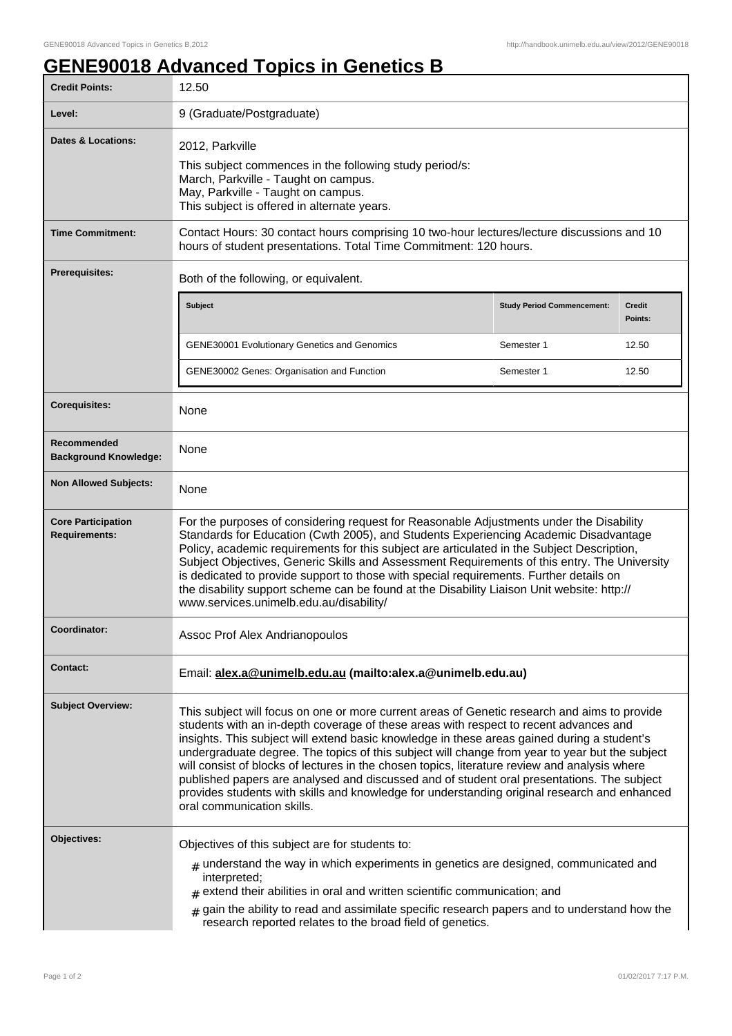## **GENE90018 Advanced Topics in Genetics B**

| <b>Credit Points:</b>                             | 12.50                                                                                                                                                                                                                                                                                                                                                                                                                                                                                                                                                                                                                                                                                                               |                                   |                          |
|---------------------------------------------------|---------------------------------------------------------------------------------------------------------------------------------------------------------------------------------------------------------------------------------------------------------------------------------------------------------------------------------------------------------------------------------------------------------------------------------------------------------------------------------------------------------------------------------------------------------------------------------------------------------------------------------------------------------------------------------------------------------------------|-----------------------------------|--------------------------|
| Level:                                            | 9 (Graduate/Postgraduate)                                                                                                                                                                                                                                                                                                                                                                                                                                                                                                                                                                                                                                                                                           |                                   |                          |
| <b>Dates &amp; Locations:</b>                     | 2012, Parkville<br>This subject commences in the following study period/s:<br>March, Parkville - Taught on campus.<br>May, Parkville - Taught on campus.<br>This subject is offered in alternate years.                                                                                                                                                                                                                                                                                                                                                                                                                                                                                                             |                                   |                          |
| <b>Time Commitment:</b>                           | Contact Hours: 30 contact hours comprising 10 two-hour lectures/lecture discussions and 10<br>hours of student presentations. Total Time Commitment: 120 hours.                                                                                                                                                                                                                                                                                                                                                                                                                                                                                                                                                     |                                   |                          |
| <b>Prerequisites:</b>                             | Both of the following, or equivalent.                                                                                                                                                                                                                                                                                                                                                                                                                                                                                                                                                                                                                                                                               |                                   |                          |
|                                                   | <b>Subject</b>                                                                                                                                                                                                                                                                                                                                                                                                                                                                                                                                                                                                                                                                                                      | <b>Study Period Commencement:</b> | <b>Credit</b><br>Points: |
|                                                   | <b>GENE30001 Evolutionary Genetics and Genomics</b>                                                                                                                                                                                                                                                                                                                                                                                                                                                                                                                                                                                                                                                                 | Semester 1                        | 12.50                    |
|                                                   | GENE30002 Genes: Organisation and Function                                                                                                                                                                                                                                                                                                                                                                                                                                                                                                                                                                                                                                                                          | Semester 1                        | 12.50                    |
| <b>Corequisites:</b>                              | None                                                                                                                                                                                                                                                                                                                                                                                                                                                                                                                                                                                                                                                                                                                |                                   |                          |
| Recommended<br><b>Background Knowledge:</b>       | None                                                                                                                                                                                                                                                                                                                                                                                                                                                                                                                                                                                                                                                                                                                |                                   |                          |
| <b>Non Allowed Subjects:</b>                      | None                                                                                                                                                                                                                                                                                                                                                                                                                                                                                                                                                                                                                                                                                                                |                                   |                          |
| <b>Core Participation</b><br><b>Requirements:</b> | For the purposes of considering request for Reasonable Adjustments under the Disability<br>Standards for Education (Cwth 2005), and Students Experiencing Academic Disadvantage<br>Policy, academic requirements for this subject are articulated in the Subject Description,<br>Subject Objectives, Generic Skills and Assessment Requirements of this entry. The University<br>is dedicated to provide support to those with special requirements. Further details on<br>the disability support scheme can be found at the Disability Liaison Unit website: http://<br>www.services.unimelb.edu.au/disability/                                                                                                    |                                   |                          |
| Coordinator:                                      | Assoc Prof Alex Andrianopoulos                                                                                                                                                                                                                                                                                                                                                                                                                                                                                                                                                                                                                                                                                      |                                   |                          |
| <b>Contact:</b>                                   | Email: alex.a@unimelb.edu.au (mailto:alex.a@unimelb.edu.au)                                                                                                                                                                                                                                                                                                                                                                                                                                                                                                                                                                                                                                                         |                                   |                          |
| <b>Subject Overview:</b>                          | This subject will focus on one or more current areas of Genetic research and aims to provide<br>students with an in-depth coverage of these areas with respect to recent advances and<br>insights. This subject will extend basic knowledge in these areas gained during a student's<br>undergraduate degree. The topics of this subject will change from year to year but the subject<br>will consist of blocks of lectures in the chosen topics, literature review and analysis where<br>published papers are analysed and discussed and of student oral presentations. The subject<br>provides students with skills and knowledge for understanding original research and enhanced<br>oral communication skills. |                                   |                          |
| Objectives:                                       | Objectives of this subject are for students to:<br>$_{\text{\#}}$ understand the way in which experiments in genetics are designed, communicated and<br>interpreted;<br>$#$ extend their abilities in oral and written scientific communication; and<br>gain the ability to read and assimilate specific research papers and to understand how the<br>#<br>research reported relates to the broad field of genetics.                                                                                                                                                                                                                                                                                                |                                   |                          |